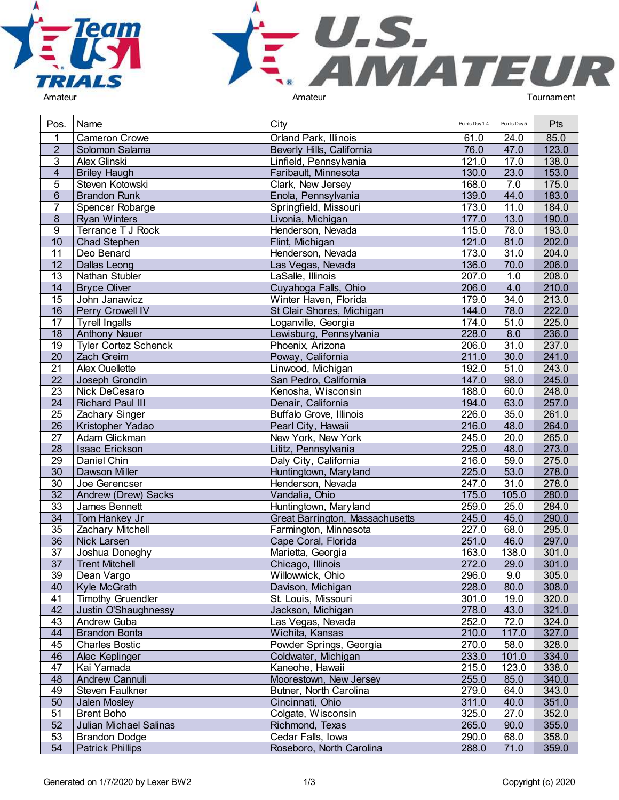



| Pos.            | Name                                            | City                                          | Points Day 1-4 | Points Day 5 | <b>Pts</b>     |  |
|-----------------|-------------------------------------------------|-----------------------------------------------|----------------|--------------|----------------|--|
|                 | <b>Cameron Crowe</b>                            | Orland Park, Illinois                         | 61.0           | 24.0         | 85.0           |  |
| $\overline{2}$  | Solomon Salama                                  | Beverly Hills, California                     | 76.0           | 47.0         | 123.0          |  |
| 3               | Alex Glinski                                    | Linfield, Pennsylvania                        | 121.0          | 17.0         | 138.0          |  |
| 4               | <b>Briley Haugh</b>                             | Faribault, Minnesota                          | 130.0          | 23.0         | 153.0          |  |
| 5               | Steven Kotowski                                 | Clark, New Jersey                             | 168.0          | 7.0          | 175.0          |  |
| $6\phantom{a}$  | <b>Brandon Runk</b>                             | Enola, Pennsylvania                           | 139.0          | 44.0         | 183.0          |  |
| $\overline{7}$  | Spencer Robarge                                 |                                               | 173.0          | 11.0         | 184.0          |  |
|                 |                                                 | Springfield, Missouri                         | 177.0          | 13.0         | 190.0          |  |
| 8               | <b>Ryan Winters</b>                             | Livonia, Michigan                             |                |              |                |  |
| 9               | Terrance T J Rock                               | Henderson, Nevada                             | 115.0          | 78.0         | 193.0          |  |
| 10              | Chad Stephen                                    | Flint, Michigan                               | 121.0          | 81.0         | 202.0          |  |
| 11              | Deo Benard                                      | Henderson, Nevada                             | 173.0          | 31.0         | 204.0          |  |
| 12              | Dallas Leong                                    | Las Vegas, Nevada                             | 136.0          | 70.0         | 206.0          |  |
| 13              | Nathan Stubler                                  | LaSalle, Illinois                             | 207.0          | 1.0          | 208.0          |  |
| 14              | <b>Bryce Oliver</b>                             | Cuyahoga Falls, Ohio                          | 206.0          | 4.0          | 210.0          |  |
| 15              | John Janawicz                                   | Winter Haven, Florida                         | 179.0          | 34.0         | 213.0          |  |
| $\overline{16}$ | Perry Crowell IV                                | St Clair Shores, Michigan                     | 144.0          | 78.0         | 222.0          |  |
| 17              | <b>Tyrell Ingalls</b>                           | Loganville, Georgia                           | 174.0          | 51.0         | 225.0          |  |
| 18              | <b>Anthony Neuer</b>                            | Lewisburg, Pennsylvania                       | 228.0          | 8.0          | 236.0          |  |
| $\overline{19}$ | <b>Tyler Cortez Schenck</b>                     | Phoenix, Arizona                              | 206.0          | 31.0         | 237.0          |  |
| 20              | Zach Greim                                      | Poway, California                             | 211.0          | 30.0         | 241.0          |  |
| $\overline{21}$ | Alex Ouellette                                  | Linwood, Michigan                             | 192.0          | 51.0         | 243.0          |  |
| 22              | Joseph Grondin                                  | San Pedro, California                         | 147.0          | 98.0         | 245.0          |  |
| $\overline{23}$ | Nick DeCesaro                                   | Kenosha, Wisconsin                            | 188.0          | 60.0         | 248.0          |  |
| 24              | <b>Richard Paul III</b>                         | Denair, California                            | 194.0          | 63.0         | 257.0          |  |
| 25              | Zachary Singer                                  | Buffalo Grove, Illinois                       | 226.0          | 35.0         | 261.0          |  |
| $\overline{26}$ | Kristopher Yadao                                | Pearl City, Hawaii                            | 216.0          | 48.0         | 264.0          |  |
| 27              | Adam Glickman                                   | New York, New York                            | 245.0          | 20.0         | 265.0          |  |
| $\overline{28}$ | Isaac Erickson                                  | Lititz, Pennsylvania                          | 225.0          | 48.0         | 273.0          |  |
| 29              | Daniel Chin                                     | Daly City, California                         | 216.0          | 59.0         | 275.0          |  |
| 30              | Dawson Miller                                   | Huntingtown, Maryland                         | 225.0          | 53.0         | 278.0          |  |
| $\overline{30}$ | Joe Gerencser                                   | Henderson, Nevada                             | 247.0          | 31.0         | 278.0          |  |
| $\overline{32}$ | Andrew (Drew) Sacks                             | Vandalia, Ohio                                | 175.0          | 105.0        | 280.0          |  |
| $\overline{33}$ | James Bennett                                   | Huntingtown, Maryland                         | 259.0          | 25.0         | 284.0          |  |
| $\overline{34}$ | Tom Hankey Jr                                   | Great Barrington, Massachusetts               | 245.0          | 45.0         | 290.0          |  |
| 35              | Zachary Mitchell                                | Farmington, Minnesota                         | 227.0          | 68.0         | 295.0          |  |
| $\overline{36}$ | Nick Larsen                                     | Cape Coral, Florida                           | 251.0          | 46.0         | 297.0          |  |
| $\overline{37}$ | Joshua Doneghy                                  | Marietta, Georgia                             | 163.0          | 138.0        | 301.0          |  |
| 37              | <b>Trent Mitchell</b>                           | Chicago, Illinois                             | 272.0          | 29.0         | 301.0          |  |
| 39              | Dean Vargo                                      | Willowwick, Ohio                              | 296.0          | 9.0          | 305.0          |  |
| 40              | Kyle McGrath                                    | Davison, Michigan                             | 228.0          | 80.0         | 308.0          |  |
| 41              | <b>Timothy Gruendler</b>                        | St. Louis, Missouri                           | 301.0          | 19.0         | 320.0          |  |
| 42              | Justin O'Shaughnessy                            | Jackson, Michigan                             | 278.0          | 43.0         | 321.0          |  |
| 43              | Andrew Guba                                     | Las Vegas, Nevada                             | 252.0          | 72.0         | 324.0          |  |
| 44              | <b>Brandon Bonta</b>                            | Wichita, Kansas                               | 210.0          | 117.0        | 327.0          |  |
| 45              | <b>Charles Bostic</b>                           | Powder Springs, Georgia                       | 270.0          | 58.0         | 328.0          |  |
| 46              | Alec Keplinger                                  | Coldwater, Michigan                           | 233.0          | 101.0        | 334.0          |  |
| 47              | Kai Yamada                                      | Kaneohe, Hawaii                               | 215.0          | 123.0        | 338.0          |  |
| 48              | Andrew Cannuli                                  | Moorestown, New Jersey                        | 255.0          | 85.0         | 340.0          |  |
| 49              | Steven Faulkner                                 | Butner, North Carolina                        | 279.0          | 64.0         | 343.0          |  |
| 50              | Jalen Mosley                                    | Cincinnati, Ohio                              | 311.0          | 40.0         | 351.0          |  |
| 51              | <b>Brent Boho</b>                               | Colgate, Wisconsin                            | 325.0          | 27.0         | 352.0          |  |
| 52              | Julian Michael Salinas                          | Richmond, Texas                               | 265.0          | 90.0         | 355.0          |  |
| 53              |                                                 |                                               |                |              |                |  |
| 54              | <b>Brandon Dodge</b><br><b>Patrick Phillips</b> | Cedar Falls, Iowa<br>Roseboro, North Carolina | 290.0<br>288.0 | 68.0<br>71.0 | 358.0<br>359.0 |  |
|                 |                                                 |                                               |                |              |                |  |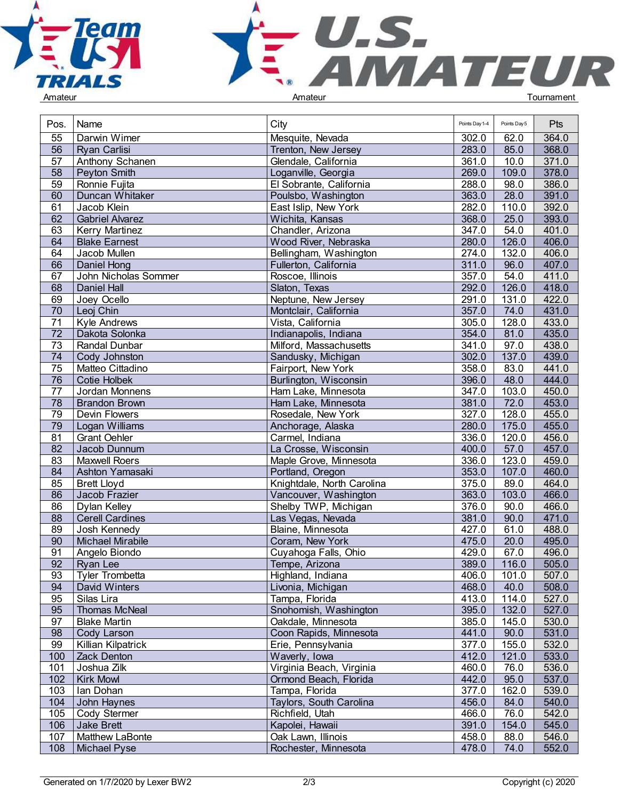



| Pos.            | Name                                 | City                       | Points Day 1-4 | Points Day 5 | <b>Pts</b> |  |
|-----------------|--------------------------------------|----------------------------|----------------|--------------|------------|--|
| 55              | Darwin Wimer                         | Mesquite, Nevada           | 302.0          | 62.0         | 364.0      |  |
| 56              | <b>Ryan Carlisi</b>                  | Trenton, New Jersey        | 283.0          | 85.0         | 368.0      |  |
| 57              | Anthony Schanen                      | Glendale, California       | 361.0          | 10.0         | 371.0      |  |
| 58              | Peyton Smith                         | Loganville, Georgia        | 269.0          | 109.0        | 378.0      |  |
| 59              | Ronnie Fujita                        | El Sobrante, California    | 288.0          | 98.0         | 386.0      |  |
| 60              | <b>Duncan Whitaker</b>               | Poulsbo, Washington        | 363.0          | 28.0         | 391.0      |  |
| 61              | Jacob Klein                          | East Islip, New York       | 282.0          | 110.0        | 392.0      |  |
| 62              | <b>Gabriel Alvarez</b>               | Wichita, Kansas            | 368.0          | 25.0         | 393.0      |  |
| 63              | Kerry Martinez                       | Chandler, Arizona          | 347.0          | 54.0         | 401.0      |  |
| 64              |                                      |                            | 280.0          | 126.0        | 406.0      |  |
| 64              | <b>Blake Earnest</b><br>Jacob Mullen | Wood River, Nebraska       | 274.0          | 132.0        | 406.0      |  |
|                 |                                      | Bellingham, Washington     |                |              |            |  |
| 66              | Daniel Hong                          | Fullerton, California      | 311.0          | 96.0         | 407.0      |  |
| 67              | John Nicholas Sommer                 | Roscoe, Illinois           | 357.0          | 54.0         | 411.0      |  |
| 68              | Daniel Hall                          | Slaton, Texas              | 292.0          | 126.0        | 418.0      |  |
| 69              | Joey Ocello                          | Neptune, New Jersey        | 291.0          | 131.0        | 422.0      |  |
| 70              | Leoj Chin                            | Montclair, California      | 357.0          | 74.0         | 431.0      |  |
| 71              | <b>Kyle Andrews</b>                  | Vista, California          | 305.0          | 128.0        | 433.0      |  |
| $\overline{72}$ | Dakota Solonka                       | Indianapolis, Indiana      | 354.0          | 81.0         | 435.0      |  |
| 73              | Randal Dunbar                        | Milford, Massachusetts     | 341.0          | 97.0         | 438.0      |  |
| 74              | Cody Johnston                        | Sandusky, Michigan         | 302.0          | 137.0        | 439.0      |  |
| 75              | Matteo Cittadino                     | Fairport, New York         | 358.0          | 83.0         | 441.0      |  |
| 76              | <b>Cotie Holbek</b>                  | Burlington, Wisconsin      | 396.0          | 48.0         | 444.0      |  |
| 77              | Jordan Monnens                       | Ham Lake, Minnesota        | 347.0          | 103.0        | 450.0      |  |
| 78              | <b>Brandon Brown</b>                 | Ham Lake, Minnesota        | 381.0          | 72.0         | 453.0      |  |
| 79              | Devin Flowers                        | Rosedale, New York         | 327.0          | 128.0        | 455.0      |  |
| 79              | Logan Williams                       | Anchorage, Alaska          | 280.0          | 175.0        | 455.0      |  |
| 81              | <b>Grant Oehler</b>                  | Carmel, Indiana            | 336.0          | 120.0        | 456.0      |  |
| $\overline{82}$ | Jacob Dunnum                         | La Crosse, Wisconsin       | 400.0          | 57.0         | 457.0      |  |
| 83              | <b>Maxwell Roers</b>                 | Maple Grove, Minnesota     | 336.0          | 123.0        | 459.0      |  |
| 84              | Ashton Yamasaki                      | Portland, Oregon           | 353.0          | 107.0        | 460.0      |  |
| 85              | <b>Brett Lloyd</b>                   | Knightdale, North Carolina | 375.0          | 89.0         | 464.0      |  |
| $\overline{86}$ | Jacob Frazier                        | Vancouver, Washington      | 363.0          | 103.0        | 466.0      |  |
| $\overline{86}$ | Dylan Kelley                         | Shelby TWP, Michigan       | 376.0          | 90.0         | 466.0      |  |
| $\overline{88}$ | <b>Cerell Cardines</b>               | Las Vegas, Nevada          | 381.0          | 90.0         | 471.0      |  |
| 89              | Josh Kennedy                         | Blaine, Minnesota          | 427.0          | 61.0         | 488.0      |  |
| 90              | <b>Michael Mirabile</b>              | Coram, New York            | 475.0          | 20.0         | 495.0      |  |
| 91              | Angelo Biondo                        | Cuyahoga Falls, Ohio       | 429.0          | 67.0         | 496.0      |  |
| 92              | Ryan Lee                             | Tempe, Arizona             | 389.0          | 116.0        | 505.0      |  |
| 93              | <b>Tyler Trombetta</b>               | Highland, Indiana          | 406.0          | 101.0        | 507.0      |  |
| 94              | David Winters                        | Livonia, Michigan          | 468.0          | 40.0         | 508.0      |  |
| 95              | Silas Lira                           | Tampa, Florida             | 413.0          | 114.0        | 527.0      |  |
| 95              | Thomas McNeal                        | Snohomish, Washington      | 395.0          | 132.0        | 527.0      |  |
| 97              | <b>Blake Martin</b>                  | Oakdale, Minnesota         | 385.0          | 145.0        | 530.0      |  |
| 98              | Cody Larson                          | Coon Rapids, Minnesota     | 441.0          | 90.0         | 531.0      |  |
| 99              | Killian Kilpatrick                   | Erie, Pennsylvania         | 377.0          | 155.0        | 532.0      |  |
| 100             | Zack Denton                          | Waverly, Iowa              | 412.0          | 121.0        | 533.0      |  |
| 101             | Joshua Zilk                          | Virginia Beach, Virginia   | 460.0          | 76.0         | 536.0      |  |
| 102             | <b>Kirk Mowl</b>                     | Ormond Beach, Florida      | 442.0          | 95.0         | 537.0      |  |
| 103             | Ian Dohan                            | Tampa, Florida             | 377.0          | 162.0        | 539.0      |  |
| 104             |                                      | Taylors, South Carolina    | 456.0          | 84.0         | 540.0      |  |
|                 | John Haynes                          |                            |                |              |            |  |
| 105             | Cody Stermer                         | Richfield, Utah            | 466.0          | 76.0         | 542.0      |  |
| 106             | Jake Brett                           | Kapolei, Hawaii            | 391.0          | 154.0        | 545.0      |  |
| 107             | Matthew LaBonte                      | Oak Lawn, Illinois         | 458.0          | 88.0         | 546.0      |  |
| 108             | Michael Pyse                         | Rochester, Minnesota       | 478.0          | 74.0         | 552.0      |  |